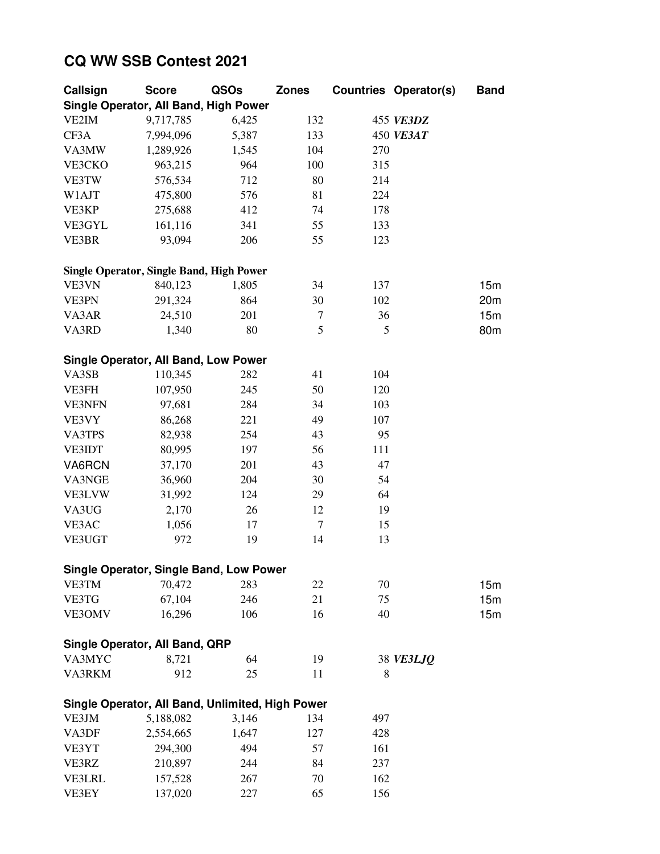## **CQ WW SSB Contest 2021**

| Callsign                                         | <b>Score</b> | QSOs  | <b>Zones</b> |     | <b>Countries Operator(s)</b> | <b>Band</b> |
|--------------------------------------------------|--------------|-------|--------------|-----|------------------------------|-------------|
| Single Operator, All Band, High Power            |              |       |              |     |                              |             |
| VE2IM                                            | 9,717,785    | 6,425 | 132          |     | 455 VE3DZ                    |             |
| CF3A                                             | 7,994,096    | 5,387 | 133          |     | 450 VE3AT                    |             |
| VA3MW                                            | 1,289,926    | 1,545 | 104          | 270 |                              |             |
| VE3CKO                                           | 963,215      | 964   | 100          | 315 |                              |             |
| VE3TW                                            | 576,534      | 712   | 80           | 214 |                              |             |
| W1AJT                                            | 475,800      | 576   | 81           | 224 |                              |             |
| VE3KP                                            | 275,688      | 412   | 74           | 178 |                              |             |
| VE3GYL                                           | 161,116      | 341   | 55           | 133 |                              |             |
| VE3BR                                            | 93,094       | 206   | 55           | 123 |                              |             |
|                                                  |              |       |              |     |                              |             |
| <b>Single Operator, Single Band, High Power</b>  |              |       |              |     |                              |             |
| VE3VN                                            | 840,123      | 1,805 | 34           | 137 |                              | 15m         |
| VE3PN                                            | 291,324      | 864   | 30           | 102 |                              | 20m         |
| VA3AR                                            | 24,510       | 201   | 7            | 36  |                              | 15m         |
| VA3RD                                            | 1,340        | 80    | 5            | 5   |                              | 80m         |
|                                                  |              |       |              |     |                              |             |
| <b>Single Operator, All Band, Low Power</b>      |              |       |              |     |                              |             |
| VA3SB                                            | 110,345      | 282   | 41           | 104 |                              |             |
| VE3FH                                            | 107,950      | 245   | 50           | 120 |                              |             |
| <b>VE3NFN</b>                                    | 97,681       | 284   | 34           | 103 |                              |             |
|                                                  |              |       |              | 107 |                              |             |
| VE3VY                                            | 86,268       | 221   | 49           |     |                              |             |
| VA3TPS                                           | 82,938       | 254   | 43           | 95  |                              |             |
| VE3IDT                                           | 80,995       | 197   | 56           | 111 |                              |             |
| VA6RCN                                           | 37,170       | 201   | 43           | 47  |                              |             |
| VA3NGE                                           | 36,960       | 204   | 30           | 54  |                              |             |
| VE3LVW                                           | 31,992       | 124   | 29           | 64  |                              |             |
| VA3UG                                            | 2,170        | 26    | 12           | 19  |                              |             |
| VE3AC                                            | 1,056        | 17    | $\tau$       | 15  |                              |             |
| VE3UGT                                           | 972          | 19    | 14           | 13  |                              |             |
|                                                  |              |       |              |     |                              |             |
| Single Operator, Single Band, Low Power          |              |       |              |     |                              |             |
| VE3TM                                            | 70,472       | 283   | 22           | 70  |                              | 15m         |
| VE3TG                                            | 67,104       | 246   | 21           | 75  |                              | 15m         |
| VE3OMV                                           | 16,296       | 106   | 16           | 40  |                              | 15m         |
|                                                  |              |       |              |     |                              |             |
| Single Operator, All Band, QRP                   |              |       |              |     |                              |             |
| VA3MYC                                           | 8,721        | 64    | 19           |     | 38 VE3LJQ                    |             |
| VA3RKM                                           | 912          | 25    | 11           | 8   |                              |             |
|                                                  |              |       |              |     |                              |             |
| Single Operator, All Band, Unlimited, High Power |              |       |              |     |                              |             |
| VE3JM                                            | 5,188,082    | 3,146 | 134          | 497 |                              |             |
| VA3DF                                            | 2,554,665    | 1,647 | 127          | 428 |                              |             |
| VE3YT                                            | 294,300      | 494   | 57           | 161 |                              |             |
| VE3RZ                                            | 210,897      | 244   | 84           | 237 |                              |             |
| <b>VE3LRL</b>                                    | 157,528      | 267   | 70           | 162 |                              |             |
| VE3EY                                            | 137,020      | 227   | 65           | 156 |                              |             |